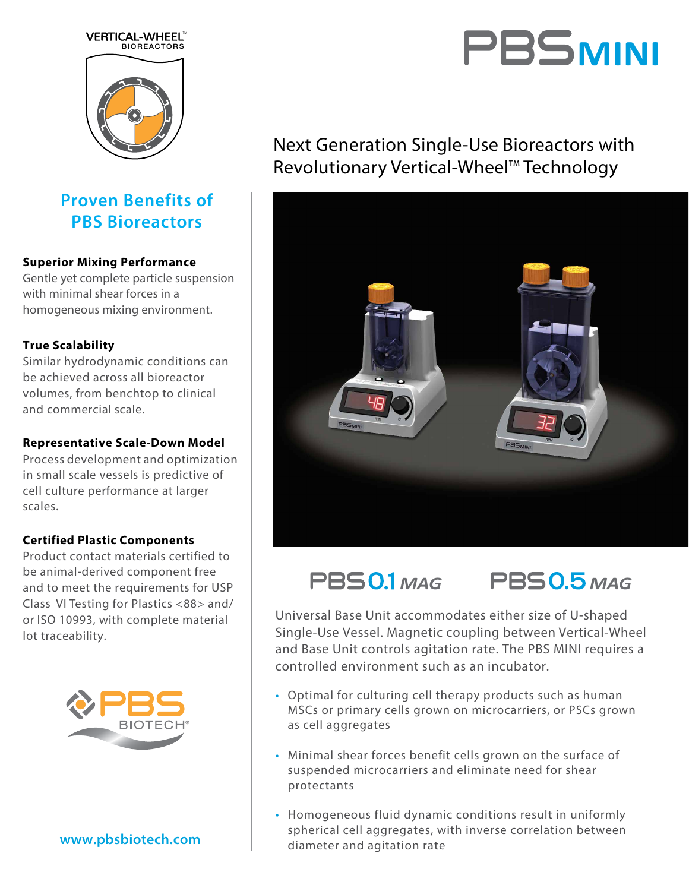# **BIORFACT** VERTICAL-WHEEL"

### **Proven Benefits of PBS Bioreactors**

#### **Superior Mixing Performance**

Gentle yet complete particle suspension with minimal shear forces in a homogeneous mixing environment.

#### **True Scalability**

Similar hydrodynamic conditions can be achieved across all bioreactor volumes, from benchtop to clinical and commercial scale.

#### **Representative Scale-Down Model**

Process development and optimization in small scale vessels is predictive of cell culture performance at larger scales.

#### **Certified Plastic Components**

Product contact materials certified to be animal-derived component free and to meet the requirements for USP Class VI Testing for Plastics <88> and/ or ISO 10993, with complete material lot traceability.



#### **www.pbsbiotech.com**

## PBS<sub>MINI</sub>

### Next Generation Single-Use Bioreactors with Revolutionary Vertical-Wheel**TM** Technology





Universal Base Unit accommodates either size of U-shaped Single-Use Vessel. Magnetic coupling between Vertical-Wheel and Base Unit controls agitation rate. The PBS MINI requires a controlled environment such as an incubator.

- Optimal for culturing cell therapy products such as human MSCs or primary cells grown on microcarriers, or PSCs grown as cell aggregates
- Minimal shear forces benefit cells grown on the surface of suspended microcarriers and eliminate need for shear protectants
- Homogeneous fluid dynamic conditions result in uniformly spherical cell aggregates, with inverse correlation between diameter and agitation rate